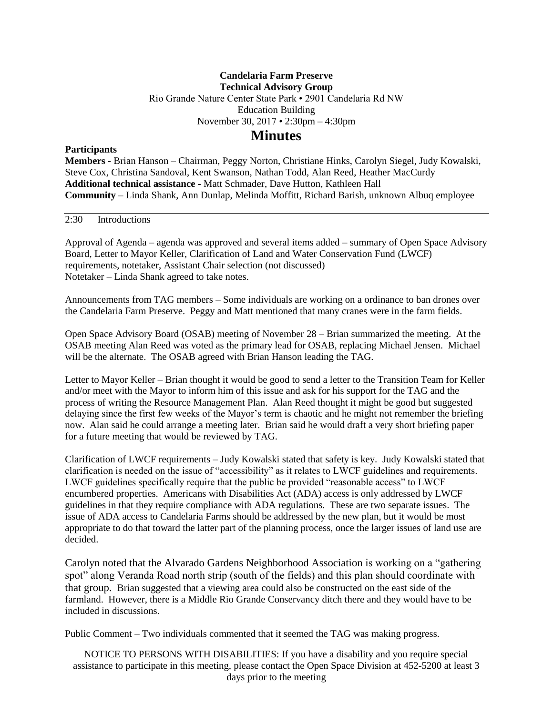## **Candelaria Farm Preserve Technical Advisory Group** Rio Grande Nature Center State Park • 2901 Candelaria Rd NW Education Building November 30, 2017 • 2:30pm – 4:30pm

## **Minutes**

## **Participants**

**Members -** Brian Hanson – Chairman, Peggy Norton, Christiane Hinks, Carolyn Siegel, Judy Kowalski, Steve Cox, Christina Sandoval, Kent Swanson, Nathan Todd, Alan Reed, Heather MacCurdy **Additional technical assistance -** Matt Schmader, Dave Hutton, Kathleen Hall **Community** – Linda Shank, Ann Dunlap, Melinda Moffitt, Richard Barish, unknown Albuq employee

2:30 Introductions

Approval of Agenda – agenda was approved and several items added – summary of Open Space Advisory Board, Letter to Mayor Keller, Clarification of Land and Water Conservation Fund (LWCF) requirements, notetaker, Assistant Chair selection (not discussed) Notetaker – Linda Shank agreed to take notes.

Announcements from TAG members – Some individuals are working on a ordinance to ban drones over the Candelaria Farm Preserve. Peggy and Matt mentioned that many cranes were in the farm fields.

Open Space Advisory Board (OSAB) meeting of November 28 – Brian summarized the meeting. At the OSAB meeting Alan Reed was voted as the primary lead for OSAB, replacing Michael Jensen. Michael will be the alternate. The OSAB agreed with Brian Hanson leading the TAG.

Letter to Mayor Keller – Brian thought it would be good to send a letter to the Transition Team for Keller and/or meet with the Mayor to inform him of this issue and ask for his support for the TAG and the process of writing the Resource Management Plan. Alan Reed thought it might be good but suggested delaying since the first few weeks of the Mayor's term is chaotic and he might not remember the briefing now. Alan said he could arrange a meeting later. Brian said he would draft a very short briefing paper for a future meeting that would be reviewed by TAG.

Clarification of LWCF requirements – Judy Kowalski stated that safety is key. Judy Kowalski stated that clarification is needed on the issue of "accessibility" as it relates to LWCF guidelines and requirements. LWCF guidelines specifically require that the public be provided "reasonable access" to LWCF encumbered properties. Americans with Disabilities Act (ADA) access is only addressed by LWCF guidelines in that they require compliance with ADA regulations. These are two separate issues. The issue of ADA access to Candelaria Farms should be addressed by the new plan, but it would be most appropriate to do that toward the latter part of the planning process, once the larger issues of land use are decided.

Carolyn noted that the Alvarado Gardens Neighborhood Association is working on a "gathering spot" along Veranda Road north strip (south of the fields) and this plan should coordinate with that group. Brian suggested that a viewing area could also be constructed on the east side of the farmland. However, there is a Middle Rio Grande Conservancy ditch there and they would have to be included in discussions.

Public Comment – Two individuals commented that it seemed the TAG was making progress.

NOTICE TO PERSONS WITH DISABILITIES: If you have a disability and you require special assistance to participate in this meeting, please contact the Open Space Division at 452-5200 at least 3 days prior to the meeting